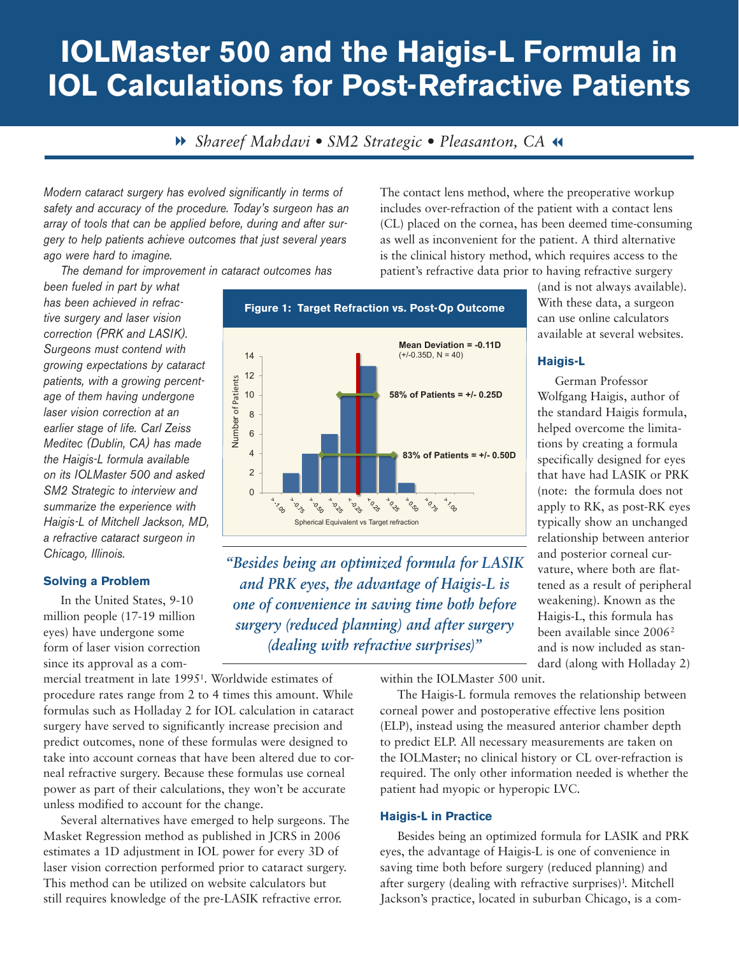# **IOLMaster 500 and the Haigis-L Formula in IOL Calculations for Post-Refractive Patients**

8 *Shareef Mahdavi • SM2 Strategic • Pleasanton, CA* 7

*Modern cataract surgery has evolved significantly in terms of safety and accuracy of the procedure. Today's surgeon has an array of tools that can be applied before, during and after surgery to help patients achieve outcomes that just several years ago were hard to imagine.* 

*The demand for improvement in cataract outcomes has* 

*been fueled in part by what has been achieved in refractive surgery and laser vision correction (PRK and LASIK). Surgeons must contend with growing expectations by cataract patients, with a growing percentage of them having undergone laser vision correction at an earlier stage of life. Carl Zeiss Meditec (Dublin, CA) has made the Haigis-L formula available on its IOLMaster 500 and asked SM2 Strategic to interview and summarize the experience with Haigis-L of Mitchell Jackson, MD, a refractive cataract surgeon in Chicago, Illinois.* 

### **Solving a Problem**

In the United States, 9-10 million people (17-19 million eyes) have undergone some form of laser vision correction since its approval as a com-

mercial treatment in late 19951. Worldwide estimates of procedure rates range from 2 to 4 times this amount. While formulas such as Holladay 2 for IOL calculation in cataract surgery have served to significantly increase precision and predict outcomes, none of these formulas were designed to take into account corneas that have been altered due to corneal refractive surgery. Because these formulas use corneal power as part of their calculations, they won't be accurate unless modified to account for the change.

Several alternatives have emerged to help surgeons. The Masket Regression method as published in JCRS in 2006 estimates a 1D adjustment in IOL power for every 3D of laser vision correction performed prior to cataract surgery. This method can be utilized on website calculators but still requires knowledge of the pre-LASIK refractive error.

The contact lens method, where the preoperative workup includes over-refraction of the patient with a contact lens (CL) placed on the cornea, has been deemed time-consuming as well as inconvenient for the patient. A third alternative is the clinical history method, which requires access to the patient's refractive data prior to having refractive surgery



*"Besides being an optimized formula for LASIK and PRK eyes, the advantage of Haigis-L is one of convenience in saving time both before surgery (reduced planning) and after surgery (dealing with refractive surprises)"*

within the IOLMaster 500 unit.

The Haigis-L formula removes the relationship between corneal power and postoperative effective lens position (ELP), instead using the measured anterior chamber depth to predict ELP. All necessary measurements are taken on the IOLMaster; no clinical history or CL over-refraction is required. The only other information needed is whether the patient had myopic or hyperopic LVC.

### **Haigis-L in Practice**

Besides being an optimized formula for LASIK and PRK eyes, the advantage of Haigis-L is one of convenience in saving time both before surgery (reduced planning) and after surgery (dealing with refractive surprises)<sup>1</sup>. Mitchell Jackson's practice, located in suburban Chicago, is a com-

(and is not always available). With these data, a surgeon can use online calculators available at several websites.

## **Haigis-L**

German Professor Wolfgang Haigis, author of the standard Haigis formula, helped overcome the limitations by creating a formula specifically designed for eyes that have had LASIK or PRK (note: the formula does not apply to RK, as post-RK eyes typically show an unchanged relationship between anterior and posterior corneal curvature, where both are flattened as a result of peripheral weakening). Known as the Haigis-L, this formula has been available since 20062 and is now included as standard (along with Holladay 2)